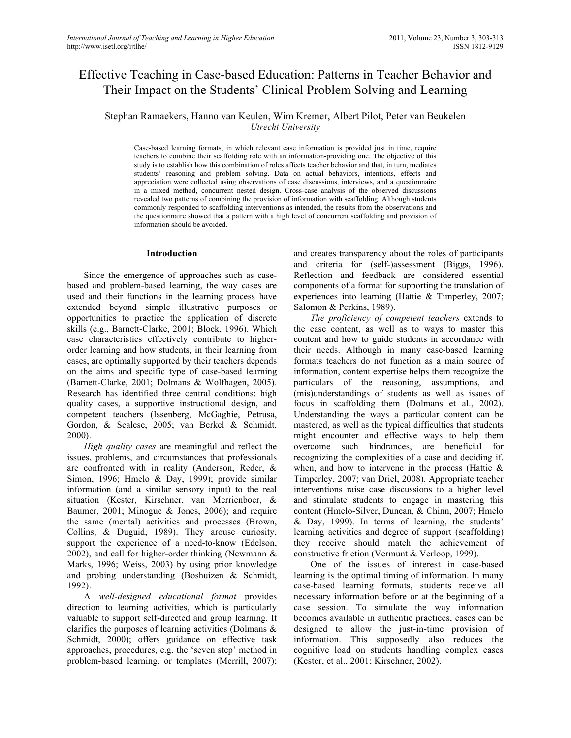# Effective Teaching in Case-based Education: Patterns in Teacher Behavior and Their Impact on the Students' Clinical Problem Solving and Learning

Stephan Ramaekers, Hanno van Keulen, Wim Kremer, Albert Pilot, Peter van Beukelen *Utrecht University*

Case-based learning formats, in which relevant case information is provided just in time, require teachers to combine their scaffolding role with an information-providing one. The objective of this study is to establish how this combination of roles affects teacher behavior and that, in turn, mediates students' reasoning and problem solving. Data on actual behaviors, intentions, effects and appreciation were collected using observations of case discussions, interviews, and a questionnaire in a mixed method, concurrent nested design. Cross-case analysis of the observed discussions revealed two patterns of combining the provision of information with scaffolding. Although students commonly responded to scaffolding interventions as intended, the results from the observations and the questionnaire showed that a pattern with a high level of concurrent scaffolding and provision of information should be avoided.

#### **Introduction**

Since the emergence of approaches such as casebased and problem-based learning, the way cases are used and their functions in the learning process have extended beyond simple illustrative purposes or opportunities to practice the application of discrete skills (e.g., Barnett-Clarke, 2001; Block, 1996). Which case characteristics effectively contribute to higherorder learning and how students, in their learning from cases, are optimally supported by their teachers depends on the aims and specific type of case-based learning (Barnett-Clarke, 2001; Dolmans & Wolfhagen, 2005). Research has identified three central conditions: high quality cases, a supportive instructional design, and competent teachers (Issenberg, McGaghie, Petrusa, Gordon, & Scalese, 2005; van Berkel & Schmidt, 2000).

*High quality cases* are meaningful and reflect the issues, problems, and circumstances that professionals are confronted with in reality (Anderson, Reder, & Simon, 1996; Hmelo & Day, 1999); provide similar information (and a similar sensory input) to the real situation (Kester, Kirschner, van Merrienboer, & Baumer, 2001; Minogue & Jones, 2006); and require the same (mental) activities and processes (Brown, Collins, & Duguid, 1989). They arouse curiosity, support the experience of a need-to-know (Edelson, 2002), and call for higher-order thinking (Newmann & Marks, 1996; Weiss, 2003) by using prior knowledge and probing understanding (Boshuizen & Schmidt, 1992).

A *well-designed educational format* provides direction to learning activities, which is particularly valuable to support self-directed and group learning. It clarifies the purposes of learning activities (Dolmans & Schmidt, 2000); offers guidance on effective task approaches, procedures, e.g. the 'seven step' method in problem-based learning, or templates (Merrill, 2007); and creates transparency about the roles of participants and criteria for (self-)assessment (Biggs, 1996). Reflection and feedback are considered essential components of a format for supporting the translation of experiences into learning (Hattie & Timperley, 2007; Salomon & Perkins, 1989).

*The proficiency of competent teachers* extends to the case content, as well as to ways to master this content and how to guide students in accordance with their needs. Although in many case-based learning formats teachers do not function as a main source of information, content expertise helps them recognize the particulars of the reasoning, assumptions, and (mis)understandings of students as well as issues of focus in scaffolding them (Dolmans et al., 2002). Understanding the ways a particular content can be mastered, as well as the typical difficulties that students might encounter and effective ways to help them overcome such hindrances, are beneficial for recognizing the complexities of a case and deciding if, when, and how to intervene in the process (Hattie  $\&$ Timperley, 2007; van Driel, 2008). Appropriate teacher interventions raise case discussions to a higher level and stimulate students to engage in mastering this content (Hmelo-Silver, Duncan, & Chinn, 2007; Hmelo & Day, 1999). In terms of learning, the students' learning activities and degree of support (scaffolding) they receive should match the achievement of constructive friction (Vermunt & Verloop, 1999).

One of the issues of interest in case-based learning is the optimal timing of information. In many case-based learning formats, students receive all necessary information before or at the beginning of a case session. To simulate the way information becomes available in authentic practices, cases can be designed to allow the just-in-time provision of information. This supposedly also reduces the cognitive load on students handling complex cases (Kester, et al., 2001; Kirschner, 2002).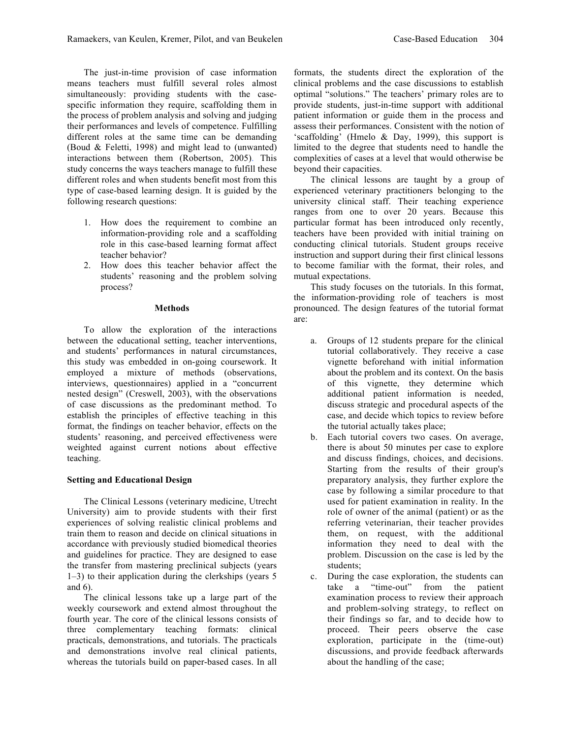The just-in-time provision of case information means teachers must fulfill several roles almost simultaneously: providing students with the casespecific information they require, scaffolding them in the process of problem analysis and solving and judging their performances and levels of competence. Fulfilling different roles at the same time can be demanding (Boud & Feletti, 1998) and might lead to (unwanted) interactions between them (Robertson, 2005). This study concerns the ways teachers manage to fulfill these different roles and when students benefit most from this type of case-based learning design. It is guided by the following research questions:

- 1. How does the requirement to combine an information-providing role and a scaffolding role in this case-based learning format affect teacher behavior?
- 2. How does this teacher behavior affect the students' reasoning and the problem solving process?

#### **Methods**

To allow the exploration of the interactions between the educational setting, teacher interventions, and students' performances in natural circumstances, this study was embedded in on-going coursework. It employed a mixture of methods (observations, interviews, questionnaires) applied in a "concurrent nested design" (Creswell, 2003), with the observations of case discussions as the predominant method. To establish the principles of effective teaching in this format, the findings on teacher behavior, effects on the students' reasoning, and perceived effectiveness were weighted against current notions about effective teaching.

## **Setting and Educational Design**

The Clinical Lessons (veterinary medicine, Utrecht University) aim to provide students with their first experiences of solving realistic clinical problems and train them to reason and decide on clinical situations in accordance with previously studied biomedical theories and guidelines for practice. They are designed to ease the transfer from mastering preclinical subjects (years 1–3) to their application during the clerkships (years 5 and 6).

The clinical lessons take up a large part of the weekly coursework and extend almost throughout the fourth year. The core of the clinical lessons consists of three complementary teaching formats: clinical practicals, demonstrations, and tutorials. The practicals and demonstrations involve real clinical patients, whereas the tutorials build on paper-based cases. In all formats, the students direct the exploration of the clinical problems and the case discussions to establish optimal "solutions." The teachers' primary roles are to provide students, just-in-time support with additional patient information or guide them in the process and assess their performances. Consistent with the notion of 'scaffolding' (Hmelo & Day, 1999), this support is limited to the degree that students need to handle the complexities of cases at a level that would otherwise be beyond their capacities.

The clinical lessons are taught by a group of experienced veterinary practitioners belonging to the university clinical staff. Their teaching experience ranges from one to over 20 years. Because this particular format has been introduced only recently, teachers have been provided with initial training on conducting clinical tutorials. Student groups receive instruction and support during their first clinical lessons to become familiar with the format, their roles, and mutual expectations.

This study focuses on the tutorials. In this format, the information-providing role of teachers is most pronounced. The design features of the tutorial format are:

- a. Groups of 12 students prepare for the clinical tutorial collaboratively. They receive a case vignette beforehand with initial information about the problem and its context. On the basis of this vignette, they determine which additional patient information is needed, discuss strategic and procedural aspects of the case, and decide which topics to review before the tutorial actually takes place;
- b. Each tutorial covers two cases. On average, there is about 50 minutes per case to explore and discuss findings, choices, and decisions. Starting from the results of their group's preparatory analysis, they further explore the case by following a similar procedure to that used for patient examination in reality. In the role of owner of the animal (patient) or as the referring veterinarian, their teacher provides them, on request, with the additional information they need to deal with the problem. Discussion on the case is led by the students;
- c. During the case exploration, the students can take a "time-out" from the patient examination process to review their approach and problem-solving strategy, to reflect on their findings so far, and to decide how to proceed. Their peers observe the case exploration, participate in the (time-out) discussions, and provide feedback afterwards about the handling of the case;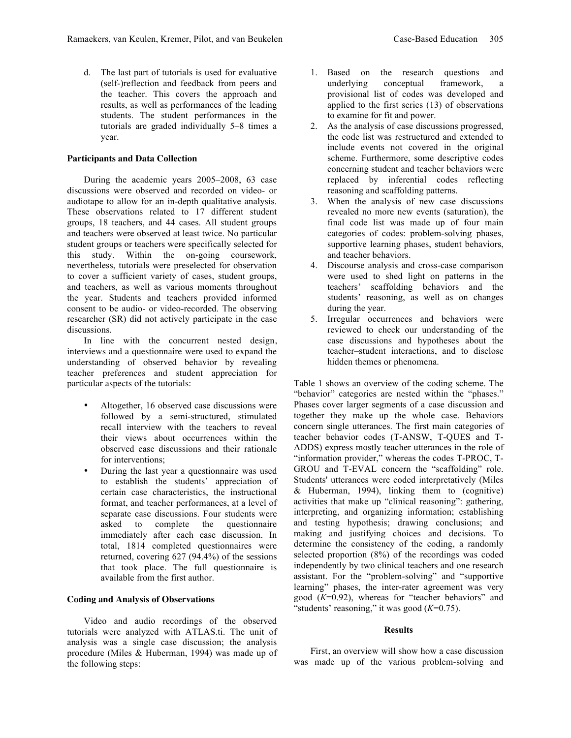d. The last part of tutorials is used for evaluative (self-)reflection and feedback from peers and the teacher. This covers the approach and results, as well as performances of the leading students. The student performances in the tutorials are graded individually 5–8 times a year.

# **Participants and Data Collection**

During the academic years 2005–2008, 63 case discussions were observed and recorded on video- or audiotape to allow for an in-depth qualitative analysis. These observations related to 17 different student groups, 18 teachers, and 44 cases. All student groups and teachers were observed at least twice. No particular student groups or teachers were specifically selected for this study. Within the on-going coursework, nevertheless, tutorials were preselected for observation to cover a sufficient variety of cases, student groups, and teachers, as well as various moments throughout the year. Students and teachers provided informed consent to be audio- or video-recorded. The observing researcher (SR) did not actively participate in the case discussions.

In line with the concurrent nested design, interviews and a questionnaire were used to expand the understanding of observed behavior by revealing teacher preferences and student appreciation for particular aspects of the tutorials:

- Altogether, 16 observed case discussions were followed by a semi-structured, stimulated recall interview with the teachers to reveal their views about occurrences within the observed case discussions and their rationale for interventions;
- During the last year a questionnaire was used to establish the students' appreciation of certain case characteristics, the instructional format, and teacher performances, at a level of separate case discussions. Four students were asked to complete the questionnaire immediately after each case discussion. In total, 1814 completed questionnaires were returned, covering 627 (94.4%) of the sessions that took place. The full questionnaire is available from the first author.

# **Coding and Analysis of Observations**

Video and audio recordings of the observed tutorials were analyzed with ATLAS.ti. The unit of analysis was a single case discussion; the analysis procedure (Miles & Huberman, 1994) was made up of the following steps:

- 1. Based on the research questions and underlying conceptual framework, a provisional list of codes was developed and applied to the first series (13) of observations to examine for fit and power.
- 2. As the analysis of case discussions progressed, the code list was restructured and extended to include events not covered in the original scheme. Furthermore, some descriptive codes concerning student and teacher behaviors were replaced by inferential codes reflecting reasoning and scaffolding patterns.
- 3. When the analysis of new case discussions revealed no more new events (saturation), the final code list was made up of four main categories of codes: problem-solving phases, supportive learning phases, student behaviors, and teacher behaviors.
- 4. Discourse analysis and cross-case comparison were used to shed light on patterns in the teachers' scaffolding behaviors and the students' reasoning, as well as on changes during the year.
- 5. Irregular occurrences and behaviors were reviewed to check our understanding of the case discussions and hypotheses about the teacher–student interactions, and to disclose hidden themes or phenomena.

Table 1 shows an overview of the coding scheme. The "behavior" categories are nested within the "phases." Phases cover larger segments of a case discussion and together they make up the whole case. Behaviors concern single utterances. The first main categories of teacher behavior codes (T-ANSW, T-QUES and T-ADDS) express mostly teacher utterances in the role of "information provider," whereas the codes T-PROC, T-GROU and T-EVAL concern the "scaffolding" role. Students' utterances were coded interpretatively (Miles & Huberman, 1994), linking them to (cognitive) activities that make up "clinical reasoning": gathering, interpreting, and organizing information; establishing and testing hypothesis; drawing conclusions; and making and justifying choices and decisions. To determine the consistency of the coding, a randomly selected proportion (8%) of the recordings was coded independently by two clinical teachers and one research assistant. For the "problem-solving" and "supportive learning" phases, the inter-rater agreement was very good (*K*=0.92), whereas for "teacher behaviors" and "students' reasoning," it was good (*K*=0.75).

#### **Results**

First, an overview will show how a case discussion was made up of the various problem-solving and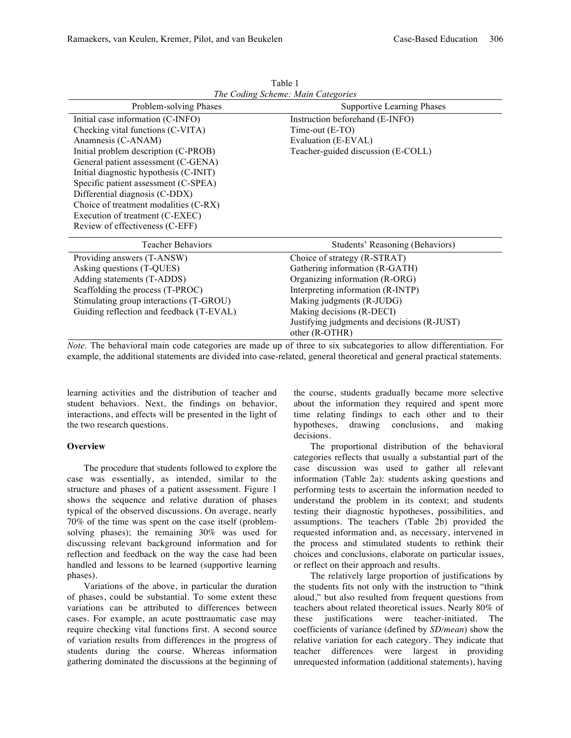| Problem-solving Phases                                                | <b>Supportive Learning Phases</b>           |  |  |
|-----------------------------------------------------------------------|---------------------------------------------|--|--|
| Initial case information (C-INFO)                                     | Instruction beforehand (E-INFO)             |  |  |
| Checking vital functions (C-VITA)                                     | Time-out (E-TO)                             |  |  |
| Anamnesis (C-ANAM)                                                    | Evaluation (E-EVAL)                         |  |  |
| Initial problem description (C-PROB)                                  | Teacher-guided discussion (E-COLL)          |  |  |
| General patient assessment (C-GENA)                                   |                                             |  |  |
| Initial diagnostic hypothesis (C-INIT)                                |                                             |  |  |
| Specific patient assessment (C-SPEA)                                  |                                             |  |  |
| Differential diagnosis (C-DDX)                                        |                                             |  |  |
| Choice of treatment modalities (C-RX)                                 |                                             |  |  |
| Execution of treatment (C-EXEC)                                       |                                             |  |  |
| Review of effectiveness (C-EFF)                                       |                                             |  |  |
| <b>Teacher Behaviors</b>                                              | Students' Reasoning (Behaviors)             |  |  |
| Providing answers (T-ANSW)                                            | Choice of strategy (R-STRAT)                |  |  |
| Asking questions (T-QUES)                                             | Gathering information (R-GATH)              |  |  |
| Adding statements (T-ADDS)                                            | Organizing information (R-ORG)              |  |  |
| Scaffolding the process (T-PROC)<br>Interpreting information (R-INTP) |                                             |  |  |
| Making judgments (R-JUDG)<br>Stimulating group interactions (T-GROU)  |                                             |  |  |
| Guiding reflection and feedback (T-EVAL)<br>Making decisions (R-DECI) |                                             |  |  |
|                                                                       | Justifying judgments and decisions (R-JUST) |  |  |
|                                                                       | other (R-OTHR)                              |  |  |

Table 1 *The Coding Scheme: Main Categories*

*Note*. The behavioral main code categories are made up of three to six subcategories to allow differentiation. For example, the additional statements are divided into case-related, general theoretical and general practical statements.

learning activities and the distribution of teacher and student behaviors. Next, the findings on behavior, interactions, and effects will be presented in the light of the two research questions.

# **Overview**

The procedure that students followed to explore the case was essentially, as intended, similar to the structure and phases of a patient assessment. Figure 1 shows the sequence and relative duration of phases typical of the observed discussions. On average, nearly 70% of the time was spent on the case itself (problemsolving phases); the remaining 30% was used for discussing relevant background information and for reflection and feedback on the way the case had been handled and lessons to be learned (supportive learning phases).

Variations of the above, in particular the duration of phases, could be substantial. To some extent these variations can be attributed to differences between cases. For example, an acute posttraumatic case may require checking vital functions first. A second source of variation results from differences in the progress of students during the course. Whereas information gathering dominated the discussions at the beginning of the course, students gradually became more selective about the information they required and spent more time relating findings to each other and to their hypotheses, drawing conclusions, and making decisions.

The proportional distribution of the behavioral categories reflects that usually a substantial part of the case discussion was used to gather all relevant information (Table 2a): students asking questions and performing tests to ascertain the information needed to understand the problem in its context; and students testing their diagnostic hypotheses, possibilities, and assumptions. The teachers (Table 2b) provided the requested information and, as necessary, intervened in the process and stimulated students to rethink their choices and conclusions, elaborate on particular issues, or reflect on their approach and results.

The relatively large proportion of justifications by the students fits not only with the instruction to "think aloud," but also resulted from frequent questions from teachers about related theoretical issues. Nearly 80% of these justifications were teacher-initiated. The coefficients of variance (defined by *SD/mean*) show the relative variation for each category. They indicate that teacher differences were largest in providing unrequested information (additional statements), having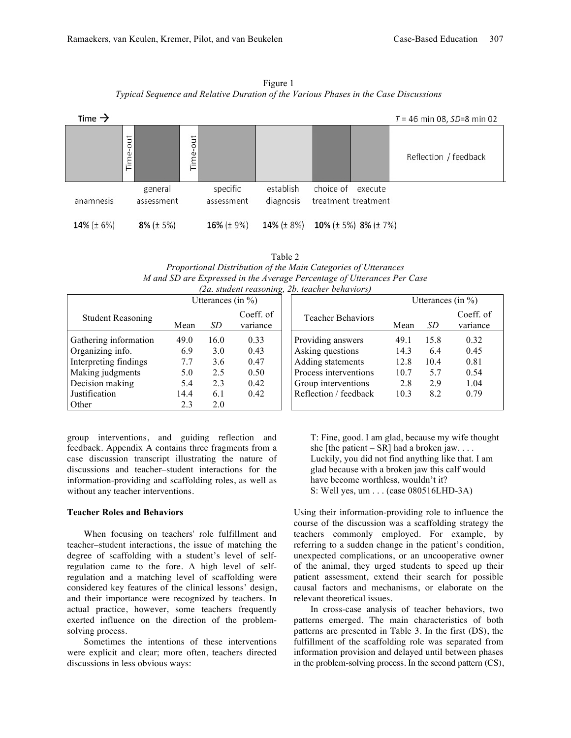Figure 1 *Typical Sequence and Relative Duration of the Various Phases in the Case Discussions*



Table 2 *Proportional Distribution of the Main Categories of Utterances M and SD are Expressed in the Average Percentage of Utterances Per Case (2a. student reasoning, 2b. teacher behaviors)*

| Utterances (in $\%$ )    |      |      | Utterances (in $\%$ ) |                          |      |      |                       |
|--------------------------|------|------|-----------------------|--------------------------|------|------|-----------------------|
| <b>Student Reasoning</b> | Mean | SD   | Coeff. of<br>variance | <b>Teacher Behaviors</b> | Mean | SD.  | Coeff. of<br>variance |
| Gathering information    | 49.0 | 16.0 | 0.33                  | Providing answers        | 49.1 | 15.8 | 0.32                  |
| Organizing info.         | 6.9  | 3.0  | 0.43                  | Asking questions         | 14.3 | 6.4  | 0.45                  |
| Interpreting findings    | 7.7  | 3.6  | 0.47                  | Adding statements        | 12.8 | 10.4 | 0.81                  |
| Making judgments         | 5.0  | 2.5  | 0.50                  | Process interventions    | 10.7 | 5.7  | 0.54                  |
| Decision making          | 5.4  | 2.3  | 0.42                  | Group interventions      | 2.8  | 2.9  | 1.04                  |
| Justification            | 14.4 | 6.1  | 0.42                  | Reflection / feedback    | 10.3 | 8.2  | 0.79                  |
| Other                    | 2.3  | 2.0  |                       |                          |      |      |                       |

group interventions, and guiding reflection and feedback. Appendix A contains three fragments from a case discussion transcript illustrating the nature of discussions and teacher–student interactions for the information-providing and scaffolding roles, as well as without any teacher interventions.

## **Teacher Roles and Behaviors**

When focusing on teachers' role fulfillment and teacher–student interactions, the issue of matching the degree of scaffolding with a student's level of selfregulation came to the fore. A high level of selfregulation and a matching level of scaffolding were considered key features of the clinical lessons' design, and their importance were recognized by teachers. In actual practice, however, some teachers frequently exerted influence on the direction of the problemsolving process.

Sometimes the intentions of these interventions were explicit and clear; more often, teachers directed discussions in less obvious ways:

T: Fine, good. I am glad, because my wife thought she [the patient – SR] had a broken jaw.  $\dots$ Luckily, you did not find anything like that. I am glad because with a broken jaw this calf would have become worthless, wouldn't it? S: Well yes, um . . . (case 080516LHD-3A)

Using their information-providing role to influence the course of the discussion was a scaffolding strategy the teachers commonly employed. For example, by referring to a sudden change in the patient's condition, unexpected complications, or an uncooperative owner of the animal, they urged students to speed up their patient assessment, extend their search for possible causal factors and mechanisms, or elaborate on the relevant theoretical issues.

In cross-case analysis of teacher behaviors, two patterns emerged. The main characteristics of both patterns are presented in Table 3. In the first (DS), the fulfillment of the scaffolding role was separated from information provision and delayed until between phases in the problem-solving process. In the second pattern (CS),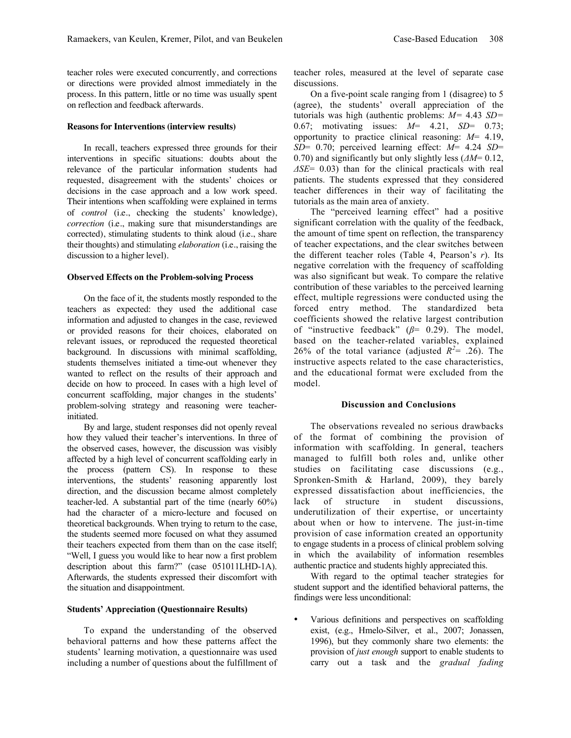teacher roles were executed concurrently, and corrections or directions were provided almost immediately in the process. In this pattern, little or no time was usually spent on reflection and feedback afterwards.

#### **Reasons for Interventions (interview results)**

In recall, teachers expressed three grounds for their interventions in specific situations: doubts about the relevance of the particular information students had requested, disagreement with the students' choices or decisions in the case approach and a low work speed. Their intentions when scaffolding were explained in terms of *control* (i.e., checking the students' knowledge), *correction* (i.e., making sure that misunderstandings are corrected), stimulating students to think aloud (i.e., share their thoughts) and stimulating *elaboration* (i.e., raising the discussion to a higher level).

#### **Observed Effects on the Problem-solving Process**

On the face of it, the students mostly responded to the teachers as expected: they used the additional case information and adjusted to changes in the case, reviewed or provided reasons for their choices, elaborated on relevant issues, or reproduced the requested theoretical background. In discussions with minimal scaffolding, students themselves initiated a time-out whenever they wanted to reflect on the results of their approach and decide on how to proceed. In cases with a high level of concurrent scaffolding, major changes in the students' problem-solving strategy and reasoning were teacherinitiated.

By and large, student responses did not openly reveal how they valued their teacher's interventions. In three of the observed cases, however, the discussion was visibly affected by a high level of concurrent scaffolding early in the process (pattern CS). In response to these interventions, the students' reasoning apparently lost direction, and the discussion became almost completely teacher-led. A substantial part of the time (nearly 60%) had the character of a micro-lecture and focused on theoretical backgrounds. When trying to return to the case, the students seemed more focused on what they assumed their teachers expected from them than on the case itself; "Well, I guess you would like to hear now a first problem description about this farm?" (case 051011LHD-1A). Afterwards, the students expressed their discomfort with the situation and disappointment.

#### **Students' Appreciation (Questionnaire Results)**

To expand the understanding of the observed behavioral patterns and how these patterns affect the students' learning motivation, a questionnaire was used including a number of questions about the fulfillment of teacher roles, measured at the level of separate case discussions.

On a five-point scale ranging from 1 (disagree) to 5 (agree), the students' overall appreciation of the tutorials was high (authentic problems: *M=* 4.43 *SD=* 0.67; motivating issues: *M*= 4.21, *SD*= 0.73; opportunity to practice clinical reasoning: *M*= 4.19, *SD*= 0.70; perceived learning effect: *M*= 4.24 *SD*= 0.70) and significantly but only slightly less (*ΔM*= 0.12, *ΔSE*= 0.03) than for the clinical practicals with real patients. The students expressed that they considered teacher differences in their way of facilitating the tutorials as the main area of anxiety.

The "perceived learning effect" had a positive significant correlation with the quality of the feedback, the amount of time spent on reflection, the transparency of teacher expectations, and the clear switches between the different teacher roles (Table 4, Pearson's *r*). Its negative correlation with the frequency of scaffolding was also significant but weak. To compare the relative contribution of these variables to the perceived learning effect, multiple regressions were conducted using the forced entry method. The standardized beta coefficients showed the relative largest contribution of "instructive feedback" (*β*= 0.29). The model, based on the teacher-related variables, explained 26% of the total variance (adjusted  $R^2 = .26$ ). The instructive aspects related to the case characteristics, and the educational format were excluded from the model.

#### **Discussion and Conclusions**

The observations revealed no serious drawbacks of the format of combining the provision of information with scaffolding. In general, teachers managed to fulfill both roles and, unlike other studies on facilitating case discussions (e.g., Spronken-Smith & Harland, 2009), they barely expressed dissatisfaction about inefficiencies, the lack of structure in student discussions, underutilization of their expertise, or uncertainty about when or how to intervene. The just-in-time provision of case information created an opportunity to engage students in a process of clinical problem solving in which the availability of information resembles authentic practice and students highly appreciated this.

With regard to the optimal teacher strategies for student support and the identified behavioral patterns, the findings were less unconditional:

• Various definitions and perspectives on scaffolding exist, (e.g., Hmelo-Silver, et al., 2007; Jonassen, 1996), but they commonly share two elements: the provision of *just enough* support to enable students to carry out a task and the *gradual fading*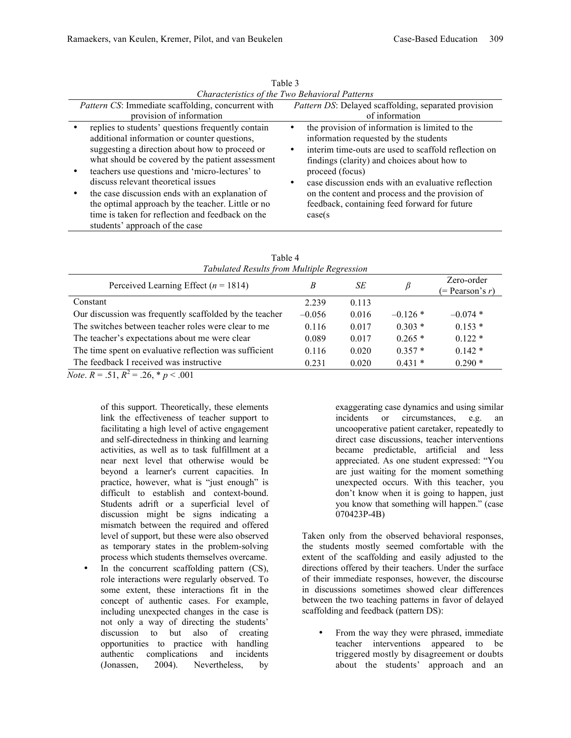| Characteristics of the Two Behavioral Patterns             |                                                                                                                                                                                                                                                                                                  |                                                                                                                                                                                                                                                                                   |  |  |  |  |
|------------------------------------------------------------|--------------------------------------------------------------------------------------------------------------------------------------------------------------------------------------------------------------------------------------------------------------------------------------------------|-----------------------------------------------------------------------------------------------------------------------------------------------------------------------------------------------------------------------------------------------------------------------------------|--|--|--|--|
| <i>Pattern CS</i> : Immediate scaffolding, concurrent with |                                                                                                                                                                                                                                                                                                  | Pattern DS: Delayed scaffolding, separated provision                                                                                                                                                                                                                              |  |  |  |  |
|                                                            | provision of information                                                                                                                                                                                                                                                                         | of information                                                                                                                                                                                                                                                                    |  |  |  |  |
|                                                            | replies to students' questions frequently contain<br>additional information or counter questions,<br>suggesting a direction about how to proceed or<br>what should be covered by the patient assessment<br>teachers use questions and 'micro-lectures' to<br>discuss relevant theoretical issues | the provision of information is limited to the<br>information requested by the students<br>interim time-outs are used to scaffold reflection on<br>٠<br>findings (clarity) and choices about how to<br>proceed (focus)<br>case discussion ends with an evaluative reflection<br>٠ |  |  |  |  |
|                                                            | the case discussion ends with an explanation of<br>the optimal approach by the teacher. Little or no<br>time is taken for reflection and feedback on the<br>students' approach of the case                                                                                                       | on the content and process and the provision of<br>feedback, containing feed forward for future<br>case(s)                                                                                                                                                                        |  |  |  |  |

Table 3

| Tabulated Results from Multiple Regression              |          |       |           |                                 |  |  |  |
|---------------------------------------------------------|----------|-------|-----------|---------------------------------|--|--|--|
| Perceived Learning Effect ( $n = 1814$ )                | B        | SЕ    | β         | Zero-order<br>$(= Pearson's r)$ |  |  |  |
| Constant                                                | 2.239    | 0.113 |           |                                 |  |  |  |
| Our discussion was frequently scaffolded by the teacher | $-0.056$ | 0.016 | $-0.126*$ | $-0.074*$                       |  |  |  |
| The switches between teacher roles were clear to me     | 0.116    | 0.017 | $0.303*$  | $0.153*$                        |  |  |  |
| The teacher's expectations about me were clear          | 0.089    | 0.017 | $0.265*$  | $0.122*$                        |  |  |  |
| The time spent on evaluative reflection was sufficient  | 0.116    | 0.020 | $0.357*$  | $0.142*$                        |  |  |  |
| The feedback I received was instructive                 | 0.231    | 0.020 | $0.431*$  | $0.290*$                        |  |  |  |

Table 4 *Tabulated Results from Multiple Regression*

*Note*.  $R = .51$ ,  $R^2 = .26$ ,  $p < .001$ 

of this support. Theoretically, these elements link the effectiveness of teacher support to facilitating a high level of active engagement and self-directedness in thinking and learning activities, as well as to task fulfillment at a near next level that otherwise would be beyond a learner's current capacities. In practice, however, what is "just enough" is difficult to establish and context-bound. Students adrift or a superficial level of discussion might be signs indicating a mismatch between the required and offered level of support, but these were also observed as temporary states in the problem-solving process which students themselves overcame.

In the concurrent scaffolding pattern  $(CS)$ , role interactions were regularly observed. To some extent, these interactions fit in the concept of authentic cases. For example, including unexpected changes in the case is not only a way of directing the students' discussion to but also of creating opportunities to practice with handling authentic complications and incidents (Jonassen, 2004). Nevertheless, by

exaggerating case dynamics and using similar incidents or circumstances, e.g. an uncooperative patient caretaker, repeatedly to direct case discussions, teacher interventions became predictable, artificial and less appreciated. As one student expressed: "You are just waiting for the moment something unexpected occurs. With this teacher, you don't know when it is going to happen, just you know that something will happen." (case 070423P-4B)

Taken only from the observed behavioral responses, the students mostly seemed comfortable with the extent of the scaffolding and easily adjusted to the directions offered by their teachers. Under the surface of their immediate responses, however, the discourse in discussions sometimes showed clear differences between the two teaching patterns in favor of delayed scaffolding and feedback (pattern DS):

From the way they were phrased, immediate teacher interventions appeared to be triggered mostly by disagreement or doubts about the students' approach and an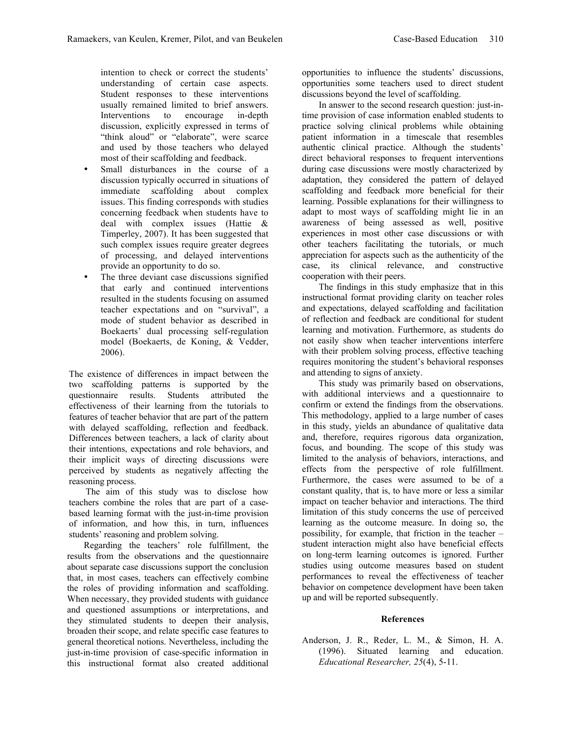intention to check or correct the students' understanding of certain case aspects. Student responses to these interventions usually remained limited to brief answers. Interventions to encourage in-depth discussion, explicitly expressed in terms of "think aloud" or "elaborate", were scarce and used by those teachers who delayed most of their scaffolding and feedback.

- Small disturbances in the course of a discussion typically occurred in situations of immediate scaffolding about complex issues. This finding corresponds with studies concerning feedback when students have to deal with complex issues (Hattie & Timperley, 2007). It has been suggested that such complex issues require greater degrees of processing, and delayed interventions provide an opportunity to do so.
- The three deviant case discussions signified that early and continued interventions resulted in the students focusing on assumed teacher expectations and on "survival", a mode of student behavior as described in Boekaerts' dual processing self-regulation model (Boekaerts, de Koning, & Vedder, 2006).

The existence of differences in impact between the two scaffolding patterns is supported by the questionnaire results. Students attributed the effectiveness of their learning from the tutorials to features of teacher behavior that are part of the pattern with delayed scaffolding, reflection and feedback. Differences between teachers, a lack of clarity about their intentions, expectations and role behaviors, and their implicit ways of directing discussions were perceived by students as negatively affecting the reasoning process.

The aim of this study was to disclose how teachers combine the roles that are part of a casebased learning format with the just-in-time provision of information, and how this, in turn, influences students' reasoning and problem solving.

Regarding the teachers' role fulfillment, the results from the observations and the questionnaire about separate case discussions support the conclusion that, in most cases, teachers can effectively combine the roles of providing information and scaffolding. When necessary, they provided students with guidance and questioned assumptions or interpretations, and they stimulated students to deepen their analysis, broaden their scope, and relate specific case features to general theoretical notions. Nevertheless, including the just-in-time provision of case-specific information in this instructional format also created additional

opportunities to influence the students' discussions, opportunities some teachers used to direct student discussions beyond the level of scaffolding.

In answer to the second research question: just-intime provision of case information enabled students to practice solving clinical problems while obtaining patient information in a timescale that resembles authentic clinical practice. Although the students' direct behavioral responses to frequent interventions during case discussions were mostly characterized by adaptation, they considered the pattern of delayed scaffolding and feedback more beneficial for their learning. Possible explanations for their willingness to adapt to most ways of scaffolding might lie in an awareness of being assessed as well, positive experiences in most other case discussions or with other teachers facilitating the tutorials, or much appreciation for aspects such as the authenticity of the case, its clinical relevance, and constructive cooperation with their peers.

The findings in this study emphasize that in this instructional format providing clarity on teacher roles and expectations, delayed scaffolding and facilitation of reflection and feedback are conditional for student learning and motivation. Furthermore, as students do not easily show when teacher interventions interfere with their problem solving process, effective teaching requires monitoring the student's behavioral responses and attending to signs of anxiety.

This study was primarily based on observations, with additional interviews and a questionnaire to confirm or extend the findings from the observations. This methodology, applied to a large number of cases in this study, yields an abundance of qualitative data and, therefore, requires rigorous data organization, focus, and bounding. The scope of this study was limited to the analysis of behaviors, interactions, and effects from the perspective of role fulfillment. Furthermore, the cases were assumed to be of a constant quality, that is, to have more or less a similar impact on teacher behavior and interactions. The third limitation of this study concerns the use of perceived learning as the outcome measure. In doing so, the possibility, for example, that friction in the teacher – student interaction might also have beneficial effects on long-term learning outcomes is ignored. Further studies using outcome measures based on student performances to reveal the effectiveness of teacher behavior on competence development have been taken up and will be reported subsequently.

# **References**

Anderson, J. R., Reder, L. M., & Simon, H. A. (1996). Situated learning and education. *Educational Researcher, 25*(4), 5-11.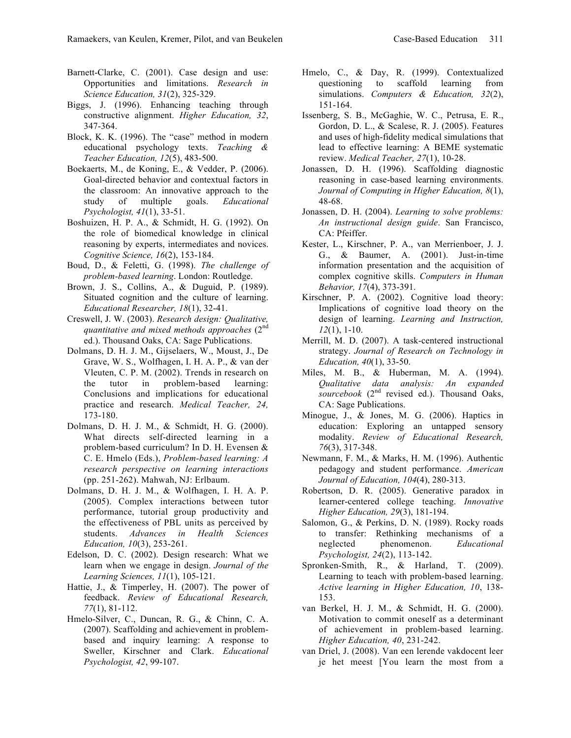- Barnett-Clarke, C. (2001). Case design and use: Opportunities and limitations. *Research in Science Education, 31*(2), 325-329.
- Biggs, J. (1996). Enhancing teaching through constructive alignment. *Higher Education, 32*, 347-364.
- Block, K. K. (1996). The "case" method in modern educational psychology texts. *Teaching & Teacher Education, 12*(5), 483-500.
- Boekaerts, M., de Koning, E., & Vedder, P. (2006). Goal-directed behavior and contextual factors in the classroom: An innovative approach to the study of multiple goals. *Educational Psychologist, 41*(1), 33-51.
- Boshuizen, H. P. A., & Schmidt, H. G. (1992). On the role of biomedical knowledge in clinical reasoning by experts, intermediates and novices. *Cognitive Science, 16*(2), 153-184.
- Boud, D., & Feletti, G. (1998). *The challenge of problem-based learning*. London: Routledge.
- Brown, J. S., Collins, A., & Duguid, P. (1989). Situated cognition and the culture of learning. *Educational Researcher, 18*(1), 32-41.
- Creswell, J. W. (2003). *Research design: Qualitative, quantitative and mixed methods approaches* (2nd ed.). Thousand Oaks, CA: Sage Publications.
- Dolmans, D. H. J. M., Gijselaers, W., Moust, J., De Grave, W. S., Wolfhagen, I. H. A. P., & van der Vleuten, C. P. M. (2002). Trends in research on the tutor in problem-based learning: Conclusions and implications for educational practice and research. *Medical Teacher, 24,*  173-180.
- Dolmans, D. H. J. M., & Schmidt, H. G. (2000). What directs self-directed learning in a problem-based curriculum? In D. H. Evensen & C. E. Hmelo (Eds.), *Problem-based learning: A research perspective on learning interactions* (pp. 251-262). Mahwah, NJ: Erlbaum.
- Dolmans, D. H. J. M., & Wolfhagen, I. H. A. P. (2005). Complex interactions between tutor performance, tutorial group productivity and the effectiveness of PBL units as perceived by students. *Advances in Health Sciences Education, 10*(3), 253-261.
- Edelson, D. C. (2002). Design research: What we learn when we engage in design. *Journal of the Learning Sciences, 11*(1), 105-121.
- Hattie, J., & Timperley, H. (2007). The power of feedback. *Review of Educational Research, 77*(1), 81-112.
- Hmelo-Silver, C., Duncan, R. G., & Chinn, C. A. (2007). Scaffolding and achievement in problembased and inquiry learning: A response to Sweller, Kirschner and Clark. *Educational Psychologist, 42*, 99-107.
- Hmelo, C., & Day, R. (1999). Contextualized questioning to scaffold learning from simulations. *Computers & Education, 32*(2), 151-164.
- Issenberg, S. B., McGaghie, W. C., Petrusa, E. R., Gordon, D. L., & Scalese, R. J. (2005). Features and uses of high-fidelity medical simulations that lead to effective learning: A BEME systematic review. *Medical Teacher, 27*(1), 10-28.
- Jonassen, D. H. (1996). Scaffolding diagnostic reasoning in case-based learning environments. *Journal of Computing in Higher Education, 8*(1), 48-68.
- Jonassen, D. H. (2004). *Learning to solve problems: An instructional design guide*. San Francisco, CA: Pfeiffer.
- Kester, L., Kirschner, P. A., van Merrienboer, J. J. G., & Baumer, A. (2001). Just-in-time information presentation and the acquisition of complex cognitive skills. *Computers in Human Behavior, 17*(4), 373-391.
- Kirschner, P. A. (2002). Cognitive load theory: Implications of cognitive load theory on the design of learning. *Learning and Instruction, 12*(1), 1-10.
- Merrill, M. D. (2007). A task-centered instructional strategy. *Journal of Research on Technology in Education, 40*(1), 33-50.
- Miles, M. B., & Huberman, M. A. (1994). *Qualitative data analysis: An expanded sourcebook* (2nd revised ed.). Thousand Oaks, CA: Sage Publications.
- Minogue, J., & Jones, M. G. (2006). Haptics in education: Exploring an untapped sensory modality. *Review of Educational Research, 76*(3), 317-348.
- Newmann, F. M., & Marks, H. M. (1996). Authentic pedagogy and student performance. *American Journal of Education, 104*(4), 280-313.
- Robertson, D. R. (2005). Generative paradox in learner-centered college teaching. *Innovative Higher Education, 29*(3), 181-194.
- Salomon, G., & Perkins, D. N. (1989). Rocky roads to transfer: Rethinking mechanisms of a neglected phenomenon. *Educational Psychologist, 24*(2), 113-142.
- Spronken-Smith, R., & Harland, T. (2009). Learning to teach with problem-based learning. *Active learning in Higher Education, 10*, 138- 153.
- van Berkel, H. J. M., & Schmidt, H. G. (2000). Motivation to commit oneself as a determinant of achievement in problem-based learning. *Higher Education, 40*, 231-242.
- van Driel, J. (2008). Van een lerende vakdocent leer je het meest [You learn the most from a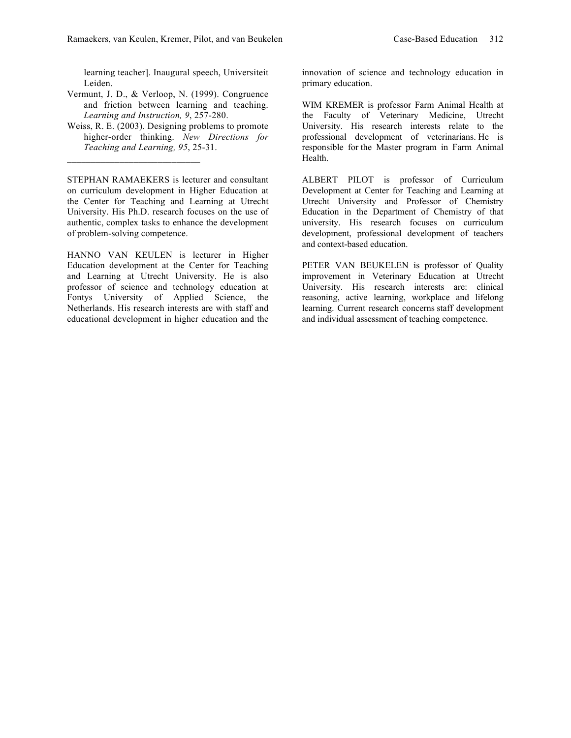learning teacher]. Inaugural speech, Universiteit Leiden.

- Vermunt, J. D., & Verloop, N. (1999). Congruence and friction between learning and teaching. *Learning and Instruction, 9*, 257-280.
- Weiss, R. E. (2003). Designing problems to promote higher-order thinking. *New Directions for Teaching and Learning, 95*, 25-31.

STEPHAN RAMAEKERS is lecturer and consultant on curriculum development in Higher Education at the Center for Teaching and Learning at Utrecht University. His Ph.D. research focuses on the use of authentic, complex tasks to enhance the development of problem-solving competence.

HANNO VAN KEULEN is lecturer in Higher Education development at the Center for Teaching and Learning at Utrecht University. He is also professor of science and technology education at Fontys University of Applied Science, the Netherlands. His research interests are with staff and educational development in higher education and the

innovation of science and technology education in primary education.

WIM KREMER is professor Farm Animal Health at the Faculty of Veterinary Medicine, Utrecht University. His research interests relate to the professional development of veterinarians. He is responsible for the Master program in Farm Animal Health.

ALBERT PILOT is professor of Curriculum Development at Center for Teaching and Learning at Utrecht University and Professor of Chemistry Education in the Department of Chemistry of that university. His research focuses on curriculum development, professional development of teachers and context-based education.

PETER VAN BEUKELEN is professor of Quality improvement in Veterinary Education at Utrecht University. His research interests are: clinical reasoning, active learning, workplace and lifelong learning. Current research concerns staff development and individual assessment of teaching competence.